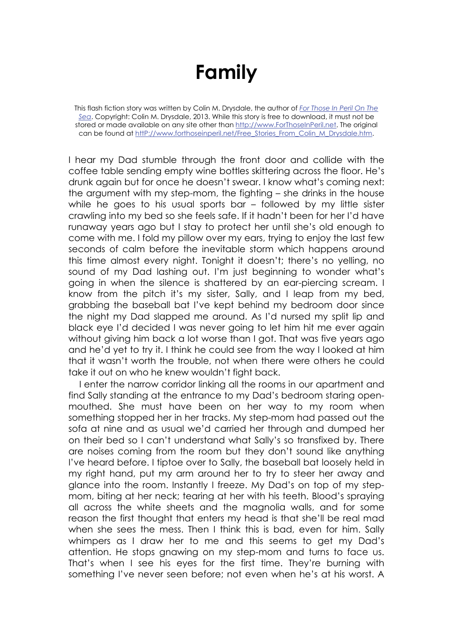## **Family**

This flash fiction story was written by Colin M. Drysdale, the author of *For Those In Peril On The Sea*. Copyright: Colin M. Drysdale, 2013. While this story is free to download, it must not be stored or made available on any site other than http://www.ForThoseInPeril.net. The original can be found at httP://www.forthoseinperil.net/Free\_Stories\_From\_Colin\_M\_Drysdale.htm.

I hear my Dad stumble through the front door and collide with the coffee table sending empty wine bottles skittering across the floor. He's drunk again but for once he doesn't swear. I know what's coming next: the argument with my step-mom, the fighting – she drinks in the house while he goes to his usual sports bar – followed by my little sister crawling into my bed so she feels safe. If it hadn't been for her I'd have runaway years ago but I stay to protect her until she's old enough to come with me. I fold my pillow over my ears, trying to enjoy the last few seconds of calm before the inevitable storm which happens around this time almost every night. Tonight it doesn't; there's no yelling, no sound of my Dad lashing out. I'm just beginning to wonder what's going in when the silence is shattered by an ear-piercing scream. I know from the pitch it's my sister, Sally, and I leap from my bed, grabbing the baseball bat I've kept behind my bedroom door since the night my Dad slapped me around. As I'd nursed my split lip and black eye I'd decided I was never going to let him hit me ever again without giving him back a lot worse than I got. That was five years ago and he'd yet to try it. I think he could see from the way I looked at him that it wasn't worth the trouble, not when there were others he could take it out on who he knew wouldn't fight back.

I enter the narrow corridor linking all the rooms in our apartment and find Sally standing at the entrance to my Dad's bedroom staring openmouthed. She must have been on her way to my room when something stopped her in her tracks. My step-mom had passed out the sofa at nine and as usual we'd carried her through and dumped her on their bed so I can't understand what Sally's so transfixed by. There are noises coming from the room but they don't sound like anything I've heard before. I tiptoe over to Sally, the baseball bat loosely held in my right hand, put my arm around her to try to steer her away and glance into the room. Instantly I freeze. My Dad's on top of my stepmom, biting at her neck; tearing at her with his teeth. Blood's spraying all across the white sheets and the magnolia walls, and for some reason the first thought that enters my head is that she'll be real mad when she sees the mess. Then I think this is bad, even for him. Sally whimpers as I draw her to me and this seems to get my Dad's attention. He stops gnawing on my step-mom and turns to face us. That's when I see his eyes for the first time. They're burning with something I've never seen before; not even when he's at his worst. A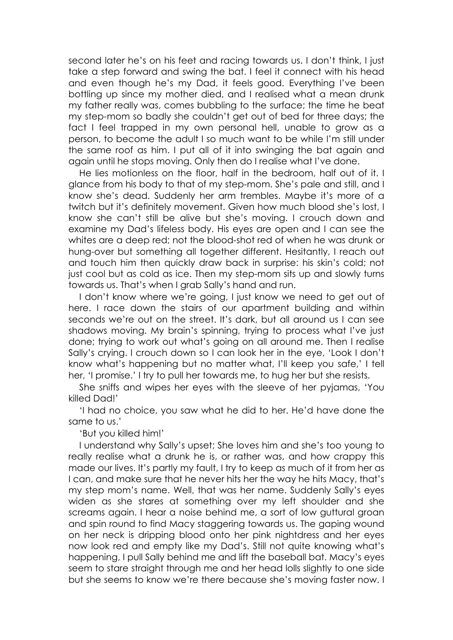second later he's on his feet and racing towards us. I don't think, I just take a step forward and swing the bat. I feel it connect with his head and even though he's my Dad, it feels good. Everything I've been bottling up since my mother died, and I realised what a mean drunk my father really was, comes bubbling to the surface; the time he beat my step-mom so badly she couldn't get out of bed for three days; the fact I feel trapped in my own personal hell, unable to grow as a person, to become the adult I so much want to be while I'm still under the same roof as him. I put all of it into swinging the bat again and again until he stops moving. Only then do I realise what I've done.

He lies motionless on the floor, half in the bedroom, half out of it. I glance from his body to that of my step-mom. She's pale and still, and I know she's dead. Suddenly her arm trembles. Maybe it's more of a twitch but it's definitely movement. Given how much blood she's lost, I know she can't still be alive but she's moving. I crouch down and examine my Dad's lifeless body. His eyes are open and I can see the whites are a deep red; not the blood-shot red of when he was drunk or hung-over but something all together different. Hesitantly, I reach out and touch him then quickly draw back in surprise: his skin's cold; not just cool but as cold as ice. Then my step-mom sits up and slowly turns towards us. That's when I grab Sally's hand and run.

I don't know where we're going, I just know we need to get out of here. I race down the stairs of our apartment building and within seconds we're out on the street. It's dark, but all around us I can see shadows moving. My brain's spinning, trying to process what I've just done; trying to work out what's going on all around me. Then I realise Sally's crying. I crouch down so I can look her in the eye, 'Look I don't know what's happening but no matter what, I'll keep you safe,' I tell her, 'I promise.' I try to pull her towards me, to hug her but she resists.

She sniffs and wipes her eyes with the sleeve of her pyjamas, 'You killed Dad!'

'I had no choice, you saw what he did to her. He'd have done the same to us.'

'But you killed him!'

I understand why Sally's upset; She loves him and she's too young to really realise what a drunk he is, or rather was, and how crappy this made our lives. It's partly my fault, I try to keep as much of it from her as I can, and make sure that he never hits her the way he hits Macy, that's my step mom's name. Well, that was her name. Suddenly Sally's eyes widen as she stares at something over my left shoulder and she screams again. I hear a noise behind me, a sort of low guttural groan and spin round to find Macy staggering towards us. The gaping wound on her neck is dripping blood onto her pink nightdress and her eyes now look red and empty like my Dad's. Still not quite knowing what's happening, I pull Sally behind me and lift the baseball bat. Macy's eyes seem to stare straight through me and her head lolls slightly to one side but she seems to know we're there because she's moving faster now. I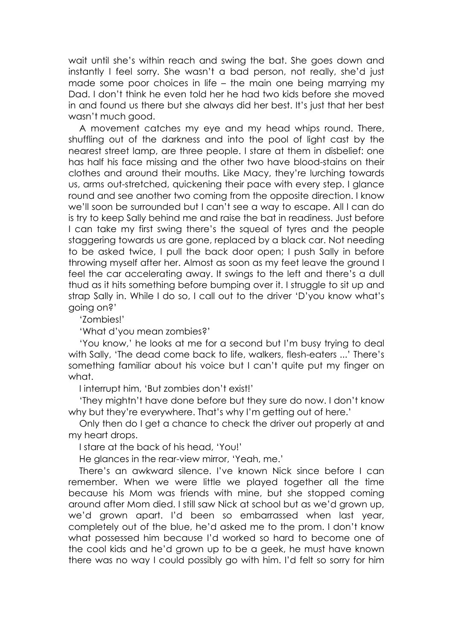wait until she's within reach and swing the bat. She goes down and instantly I feel sorry. She wasn't a bad person, not really, she'd just made some poor choices in life – the main one being marrying my Dad. I don't think he even told her he had two kids before she moved in and found us there but she always did her best. It's just that her best wasn't much good.

A movement catches my eye and my head whips round. There, shuffling out of the darkness and into the pool of light cast by the nearest street lamp, are three people. I stare at them in disbelief: one has half his face missing and the other two have blood-stains on their clothes and around their mouths. Like Macy, they're lurching towards us, arms out-stretched, quickening their pace with every step. I glance round and see another two coming from the opposite direction. I know we'll soon be surrounded but I can't see a way to escape. All I can do is try to keep Sally behind me and raise the bat in readiness. Just before I can take my first swing there's the squeal of tyres and the people staggering towards us are gone, replaced by a black car. Not needing to be asked twice, I pull the back door open; I push Sally in before throwing myself after her. Almost as soon as my feet leave the ground I feel the car accelerating away. It swings to the left and there's a dull thud as it hits something before bumping over it. I struggle to sit up and strap Sally in. While I do so, I call out to the driver 'D'you know what's going on?'

'Zombies!'

'What d'you mean zombies?'

'You know,' he looks at me for a second but I'm busy trying to deal with Sally, 'The dead come back to life, walkers, flesh-eaters ...' There's something familiar about his voice but I can't quite put my finger on what.

I interrupt him, 'But zombies don't exist!'

'They mightn't have done before but they sure do now. I don't know why but they're everywhere. That's why I'm getting out of here.'

Only then do I get a chance to check the driver out properly at and my heart drops.

I stare at the back of his head, 'You!'

He glances in the rear-view mirror, 'Yeah, me.'

There's an awkward silence. I've known Nick since before I can remember. When we were little we played together all the time because his Mom was friends with mine, but she stopped coming around after Mom died. I still saw Nick at school but as we'd grown up, we'd grown apart. I'd been so embarrassed when last year, completely out of the blue, he'd asked me to the prom. I don't know what possessed him because I'd worked so hard to become one of the cool kids and he'd grown up to be a geek, he must have known there was no way I could possibly go with him. I'd felt so sorry for him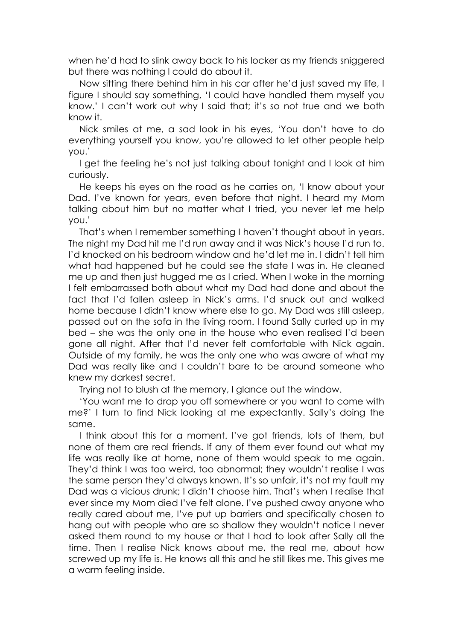when he'd had to slink away back to his locker as my friends sniggered but there was nothing I could do about it.

Now sitting there behind him in his car after he'd just saved my life, I figure I should say something, 'I could have handled them myself you know.' I can't work out why I said that; it's so not true and we both know it.

Nick smiles at me, a sad look in his eyes, 'You don't have to do everything yourself you know, you're allowed to let other people help you.'

I get the feeling he's not just talking about tonight and I look at him curiously.

He keeps his eyes on the road as he carries on, 'I know about your Dad. I've known for years, even before that night. I heard my Mom talking about him but no matter what I tried, you never let me help you.'

That's when I remember something I haven't thought about in years. The night my Dad hit me I'd run away and it was Nick's house I'd run to. I'd knocked on his bedroom window and he'd let me in. I didn't tell him what had happened but he could see the state I was in. He cleaned me up and then just hugged me as I cried. When I woke in the morning I felt embarrassed both about what my Dad had done and about the fact that I'd fallen asleep in Nick's arms. I'd snuck out and walked home because I didn't know where else to go. My Dad was still asleep, passed out on the sofa in the living room. I found Sally curled up in my bed – she was the only one in the house who even realised I'd been gone all night. After that I'd never felt comfortable with Nick again. Outside of my family, he was the only one who was aware of what my Dad was really like and I couldn't bare to be around someone who knew my darkest secret.

Trying not to blush at the memory, I glance out the window.

'You want me to drop you off somewhere or you want to come with me?' I turn to find Nick looking at me expectantly. Sally's doing the same.

I think about this for a moment. I've got friends, lots of them, but none of them are real friends. If any of them ever found out what my life was really like at home, none of them would speak to me again. They'd think I was too weird, too abnormal; they wouldn't realise I was the same person they'd always known. It's so unfair, it's not my fault my Dad was a vicious drunk; I didn't choose him. That's when I realise that ever since my Mom died I've felt alone. I've pushed away anyone who really cared about me, I've put up barriers and specifically chosen to hang out with people who are so shallow they wouldn't notice I never asked them round to my house or that I had to look after Sally all the time. Then I realise Nick knows about me, the real me, about how screwed up my life is. He knows all this and he still likes me. This gives me a warm feeling inside.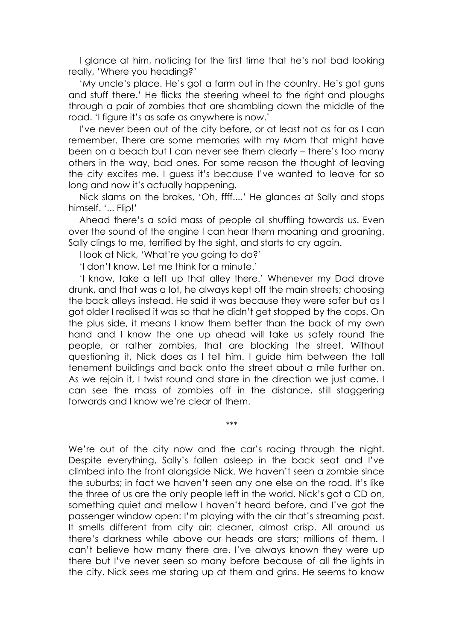I glance at him, noticing for the first time that he's not bad looking really, 'Where you heading?'

'My uncle's place. He's got a farm out in the country. He's got guns and stuff there.' He flicks the steering wheel to the right and ploughs through a pair of zombies that are shambling down the middle of the road. 'I figure it's as safe as anywhere is now.'

I've never been out of the city before, or at least not as far as I can remember. There are some memories with my Mom that might have been on a beach but I can never see them clearly – there's too many others in the way, bad ones. For some reason the thought of leaving the city excites me. I guess it's because I've wanted to leave for so long and now it's actually happening.

Nick slams on the brakes, 'Oh, ffff....' He glances at Sally and stops himself. '... Flip!'

Ahead there's a solid mass of people all shuffling towards us. Even over the sound of the engine I can hear them moaning and groaning. Sally clings to me, terrified by the sight, and starts to cry again.

I look at Nick, 'What're you going to do?'

'I don't know. Let me think for a minute.'

'I know, take a left up that alley there.' Whenever my Dad drove drunk, and that was a lot, he always kept off the main streets; choosing the back alleys instead. He said it was because they were safer but as I got older I realised it was so that he didn't get stopped by the cops. On the plus side, it means I know them better than the back of my own hand and I know the one up ahead will take us safely round the people, or rather zombies, that are blocking the street. Without questioning it, Nick does as I tell him. I guide him between the tall tenement buildings and back onto the street about a mile further on. As we rejoin it, I twist round and stare in the direction we just came. I can see the mass of zombies off in the distance, still staggering forwards and I know we're clear of them.

\*\*\*

We're out of the city now and the car's racing through the night. Despite everything, Sally's fallen asleep in the back seat and I've climbed into the front alongside Nick. We haven't seen a zombie since the suburbs; in fact we haven't seen any one else on the road. It's like the three of us are the only people left in the world. Nick's got a CD on, something quiet and mellow I haven't heard before, and I've got the passenger window open: I'm playing with the air that's streaming past. It smells different from city air: cleaner, almost crisp. All around us there's darkness while above our heads are stars; millions of them. I can't believe how many there are. I've always known they were up there but I've never seen so many before because of all the lights in the city. Nick sees me staring up at them and grins. He seems to know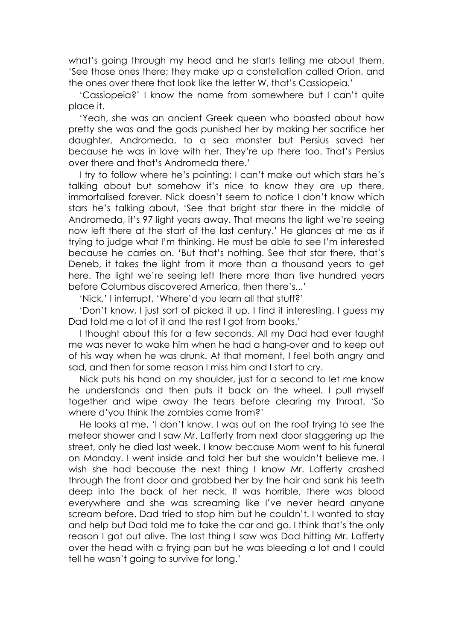what's going through my head and he starts telling me about them. 'See those ones there; they make up a constellation called Orion, and the ones over there that look like the letter W, that's Cassiopeia.'

'Cassiopeia?' I know the name from somewhere but I can't quite place it.

'Yeah, she was an ancient Greek queen who boasted about how pretty she was and the gods punished her by making her sacrifice her daughter, Andromeda, to a sea monster but Persius saved her because he was in love with her. They're up there too. That's Persius over there and that's Andromeda there.'

I try to follow where he's pointing; I can't make out which stars he's talking about but somehow it's nice to know they are up there, immortalised forever. Nick doesn't seem to notice I don't know which stars he's talking about, 'See that bright star there in the middle of Andromeda, it's 97 light years away. That means the light we're seeing now left there at the start of the last century.' He glances at me as if trying to judge what I'm thinking. He must be able to see I'm interested because he carries on. 'But that's nothing. See that star there, that's Deneb, it takes the light from it more than a thousand years to get here. The light we're seeing left there more than five hundred years before Columbus discovered America, then there's...'

'Nick,' I interrupt, 'Where'd you learn all that stuff?'

'Don't know, I just sort of picked it up. I find it interesting. I guess my Dad told me a lot of it and the rest I got from books.'

I thought about this for a few seconds. All my Dad had ever taught me was never to wake him when he had a hang-over and to keep out of his way when he was drunk. At that moment, I feel both angry and sad, and then for some reason I miss him and I start to cry.

Nick puts his hand on my shoulder, just for a second to let me know he understands and then puts it back on the wheel. I pull myself together and wipe away the tears before clearing my throat. 'So where d'you think the zombies came from?'

He looks at me, 'I don't know. I was out on the roof trying to see the meteor shower and I saw Mr. Lafferty from next door staggering up the street, only he died last week. I know because Mom went to his funeral on Monday. I went inside and told her but she wouldn't believe me. I wish she had because the next thing I know Mr. Lafferty crashed through the front door and grabbed her by the hair and sank his teeth deep into the back of her neck. It was horrible, there was blood everywhere and she was screaming like I've never heard anyone scream before. Dad tried to stop him but he couldn't. I wanted to stay and help but Dad told me to take the car and go. I think that's the only reason I got out alive. The last thing I saw was Dad hitting Mr. Lafferty over the head with a frying pan but he was bleeding a lot and I could tell he wasn't going to survive for long.'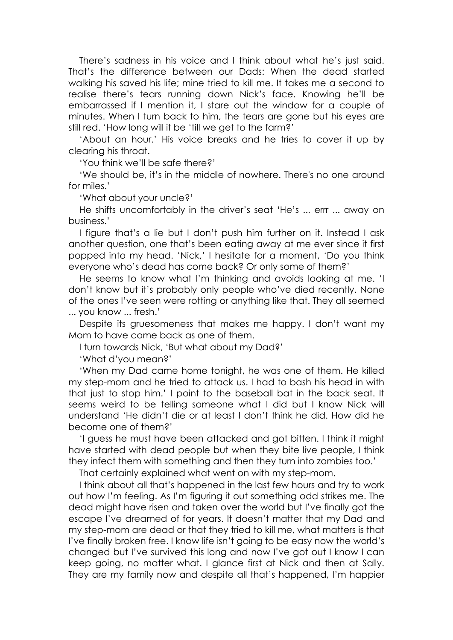There's sadness in his voice and I think about what he's just said. That's the difference between our Dads: When the dead started walking his saved his life; mine tried to kill me. It takes me a second to realise there's tears running down Nick's face. Knowing he'll be embarrassed if I mention it, I stare out the window for a couple of minutes. When I turn back to him, the tears are gone but his eyes are still red. 'How long will it be 'till we get to the farm?'

'About an hour.' His voice breaks and he tries to cover it up by clearing his throat.

'You think we'll be safe there?'

'We should be, it's in the middle of nowhere. There's no one around for miles.'

'What about your uncle?'

He shifts uncomfortably in the driver's seat 'He's ... errr ... away on business.'

I figure that's a lie but I don't push him further on it. Instead I ask another question, one that's been eating away at me ever since it first popped into my head. 'Nick,' I hesitate for a moment, 'Do you think everyone who's dead has come back? Or only some of them?'

He seems to know what I'm thinking and avoids looking at me. 'I don't know but it's probably only people who've died recently. None of the ones I've seen were rotting or anything like that. They all seemed ... you know ... fresh.'

Despite its gruesomeness that makes me happy. I don't want my Mom to have come back as one of them.

I turn towards Nick, 'But what about my Dad?'

'What d'you mean?'

'When my Dad came home tonight, he was one of them. He killed my step-mom and he tried to attack us. I had to bash his head in with that just to stop him.' I point to the baseball bat in the back seat. It seems weird to be telling someone what I did but I know Nick will understand 'He didn't die or at least I don't think he did. How did he become one of them?'

'I guess he must have been attacked and got bitten. I think it might have started with dead people but when they bite live people, I think they infect them with something and then they turn into zombies too.'

That certainly explained what went on with my step-mom.

I think about all that's happened in the last few hours and try to work out how I'm feeling. As I'm figuring it out something odd strikes me. The dead might have risen and taken over the world but I've finally got the escape I've dreamed of for years. It doesn't matter that my Dad and my step-mom are dead or that they tried to kill me, what matters is that I've finally broken free. I know life isn't going to be easy now the world's changed but I've survived this long and now I've got out I know I can keep going, no matter what. I glance first at Nick and then at Sally. They are my family now and despite all that's happened, I'm happier